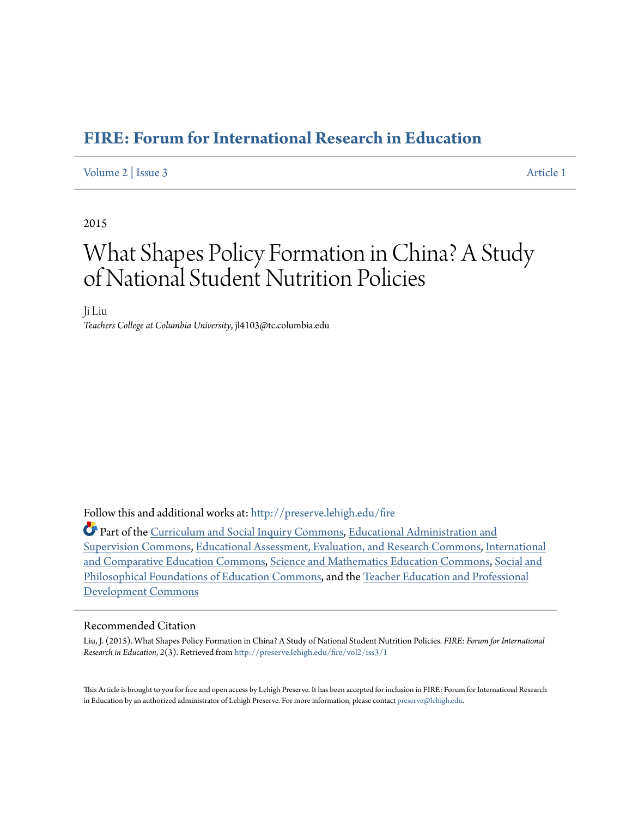### **[FIRE: Forum for International Research in Education](http://preserve.lehigh.edu/fire?utm_source=preserve.lehigh.edu%2Ffire%2Fvol2%2Fiss3%2F1&utm_medium=PDF&utm_campaign=PDFCoverPages)**

#### [Volume 2](http://preserve.lehigh.edu/fire/vol2?utm_source=preserve.lehigh.edu%2Ffire%2Fvol2%2Fiss3%2F1&utm_medium=PDF&utm_campaign=PDFCoverPages) | [Issue 3](http://preserve.lehigh.edu/fire/vol2/iss3?utm_source=preserve.lehigh.edu%2Ffire%2Fvol2%2Fiss3%2F1&utm_medium=PDF&utm_campaign=PDFCoverPages) [Article 1](http://preserve.lehigh.edu/fire/vol2/iss3/1?utm_source=preserve.lehigh.edu%2Ffire%2Fvol2%2Fiss3%2F1&utm_medium=PDF&utm_campaign=PDFCoverPages)

#### 2015

# What Shapes Policy Formation in China? A Study of National Student Nutrition Policies

Ji Liu *Teachers College at Columbia University*, jl4103@tc.columbia.edu

Follow this and additional works at: [http://preserve.lehigh.edu/fire](http://preserve.lehigh.edu/fire?utm_source=preserve.lehigh.edu%2Ffire%2Fvol2%2Fiss3%2F1&utm_medium=PDF&utm_campaign=PDFCoverPages)

Part of the [Curriculum and Social Inquiry Commons](http://network.bepress.com/hgg/discipline/1038?utm_source=preserve.lehigh.edu%2Ffire%2Fvol2%2Fiss3%2F1&utm_medium=PDF&utm_campaign=PDFCoverPages), [Educational Administration and](http://network.bepress.com/hgg/discipline/787?utm_source=preserve.lehigh.edu%2Ffire%2Fvol2%2Fiss3%2F1&utm_medium=PDF&utm_campaign=PDFCoverPages) [Supervision Commons](http://network.bepress.com/hgg/discipline/787?utm_source=preserve.lehigh.edu%2Ffire%2Fvol2%2Fiss3%2F1&utm_medium=PDF&utm_campaign=PDFCoverPages), [Educational Assessment, Evaluation, and Research Commons,](http://network.bepress.com/hgg/discipline/796?utm_source=preserve.lehigh.edu%2Ffire%2Fvol2%2Fiss3%2F1&utm_medium=PDF&utm_campaign=PDFCoverPages) [International](http://network.bepress.com/hgg/discipline/797?utm_source=preserve.lehigh.edu%2Ffire%2Fvol2%2Fiss3%2F1&utm_medium=PDF&utm_campaign=PDFCoverPages) [and Comparative Education Commons](http://network.bepress.com/hgg/discipline/797?utm_source=preserve.lehigh.edu%2Ffire%2Fvol2%2Fiss3%2F1&utm_medium=PDF&utm_campaign=PDFCoverPages), [Science and Mathematics Education Commons,](http://network.bepress.com/hgg/discipline/800?utm_source=preserve.lehigh.edu%2Ffire%2Fvol2%2Fiss3%2F1&utm_medium=PDF&utm_campaign=PDFCoverPages) [Social and](http://network.bepress.com/hgg/discipline/799?utm_source=preserve.lehigh.edu%2Ffire%2Fvol2%2Fiss3%2F1&utm_medium=PDF&utm_campaign=PDFCoverPages) [Philosophical Foundations of Education Commons](http://network.bepress.com/hgg/discipline/799?utm_source=preserve.lehigh.edu%2Ffire%2Fvol2%2Fiss3%2F1&utm_medium=PDF&utm_campaign=PDFCoverPages), and the [Teacher Education and Professional](http://network.bepress.com/hgg/discipline/803?utm_source=preserve.lehigh.edu%2Ffire%2Fvol2%2Fiss3%2F1&utm_medium=PDF&utm_campaign=PDFCoverPages) [Development Commons](http://network.bepress.com/hgg/discipline/803?utm_source=preserve.lehigh.edu%2Ffire%2Fvol2%2Fiss3%2F1&utm_medium=PDF&utm_campaign=PDFCoverPages)

#### Recommended Citation

Liu, J. (2015). What Shapes Policy Formation in China? A Study of National Student Nutrition Policies. *FIRE: Forum for International Research in Education, 2*(3). Retrieved from [http://preserve.lehigh.edu/fire/vol2/iss3/1](http://preserve.lehigh.edu/fire/vol2/iss3/1?utm_source=preserve.lehigh.edu%2Ffire%2Fvol2%2Fiss3%2F1&utm_medium=PDF&utm_campaign=PDFCoverPages)

This Article is brought to you for free and open access by Lehigh Preserve. It has been accepted for inclusion in FIRE: Forum for International Research in Education by an authorized administrator of Lehigh Preserve. For more information, please contact [preserve@lehigh.edu](mailto:preserve@lehigh.edu).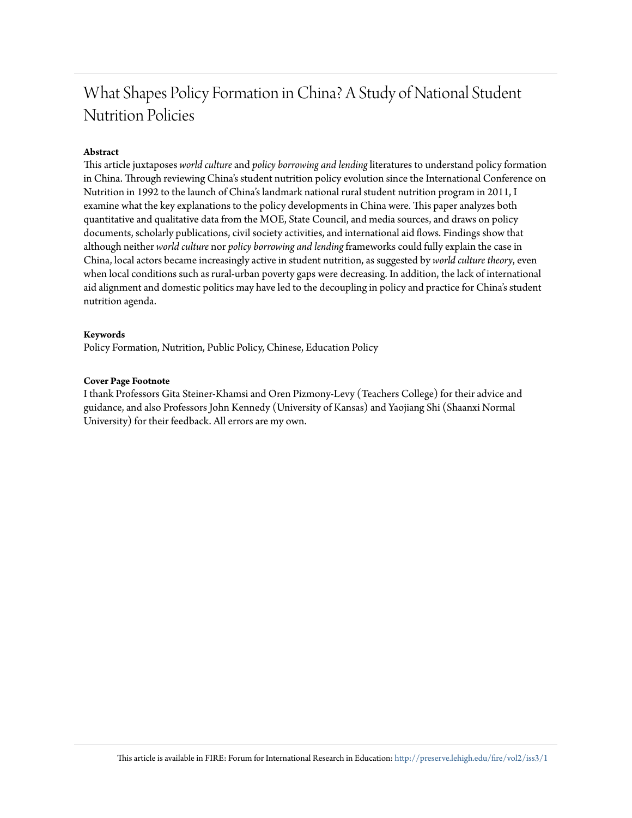# What Shapes Policy Formation in China? A Study of National Student Nutrition Policies

#### **Abstract**

This article juxtaposes *world culture* and *policy borrowing and lending*literatures to understand policy formation in China. Through reviewing China's student nutrition policy evolution since the International Conference on Nutrition in 1992 to the launch of China's landmark national rural student nutrition program in 2011, I examine what the key explanations to the policy developments in China were. This paper analyzes both quantitative and qualitative data from the MOE, State Council, and media sources, and draws on policy documents, scholarly publications, civil society activities, and international aid flows. Findings show that although neither *world culture* nor *policy borrowing and lending*frameworks could fully explain the case in China, local actors became increasingly active in student nutrition, as suggested by *world culture theory*, even when local conditions such as rural-urban poverty gaps were decreasing. In addition, the lack of international aid alignment and domestic politics may have led to the decoupling in policy and practice for China's student nutrition agenda.

#### **Keywords**

Policy Formation, Nutrition, Public Policy, Chinese, Education Policy

#### **Cover Page Footnote**

I thank Professors Gita Steiner-Khamsi and Oren Pizmony-Levy (Teachers College) for their advice and guidance, and also Professors John Kennedy (University of Kansas) and Yaojiang Shi (Shaanxi Normal University) for their feedback. All errors are my own.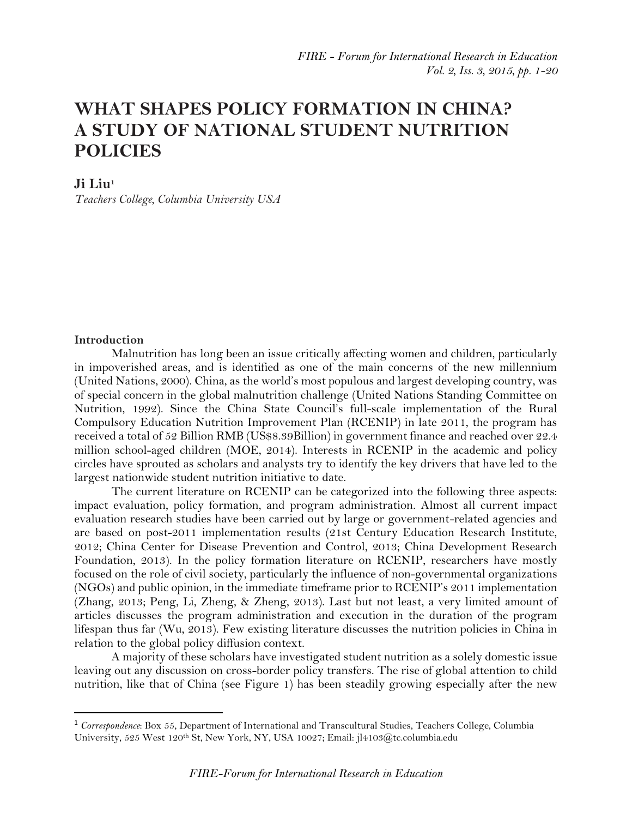## **WHAT SHAPES POLICY FORMATION IN CHINA? A STUDY OF NATIONAL STUDENT NUTRITION POLICIES**

#### **Ji Liu<sup>1</sup>**

*Teachers College, Columbia University USA*

#### **Introduction**

 $\overline{a}$ 

Malnutrition has long been an issue critically affecting women and children, particularly in impoverished areas, and is identified as one of the main concerns of the new millennium (United Nations, 2000). China, as the world's most populous and largest developing country, was of special concern in the global malnutrition challenge (United Nations Standing Committee on Nutrition, 1992). Since the China State Council's full-scale implementation of the Rural Compulsory Education Nutrition Improvement Plan (RCENIP) in late 2011, the program has received a total of 52 Billion RMB (US\$8.39Billion) in government finance and reached over 22.4 million school-aged children (MOE, 2014). Interests in RCENIP in the academic and policy circles have sprouted as scholars and analysts try to identify the key drivers that have led to the largest nationwide student nutrition initiative to date.

The current literature on RCENIP can be categorized into the following three aspects: impact evaluation, policy formation, and program administration. Almost all current impact evaluation research studies have been carried out by large or government-related agencies and are based on post-2011 implementation results (21st Century Education Research Institute, 2012; China Center for Disease Prevention and Control, 2013; China Development Research Foundation, 2013). In the policy formation literature on RCENIP, researchers have mostly focused on the role of civil society, particularly the influence of non-governmental organizations (NGOs) and public opinion, in the immediate timeframe prior to RCENIP's 2011 implementation (Zhang, 2013; Peng, Li, Zheng, & Zheng, 2013). Last but not least, a very limited amount of articles discusses the program administration and execution in the duration of the program lifespan thus far (Wu, 2013). Few existing literature discusses the nutrition policies in China in relation to the global policy diffusion context.

A majority of these scholars have investigated student nutrition as a solely domestic issue leaving out any discussion on cross-border policy transfers. The rise of global attention to child nutrition, like that of China (see Figure 1) has been steadily growing especially after the new

<sup>1</sup> *Correspondence*: Box 55, Department of International and Transcultural Studies, Teachers College, Columbia University, 525 West 120th St, New York, NY, USA 10027; Email: [jl4103@tc.columbia.edu](mailto:jl4103@tc.columbia.edu)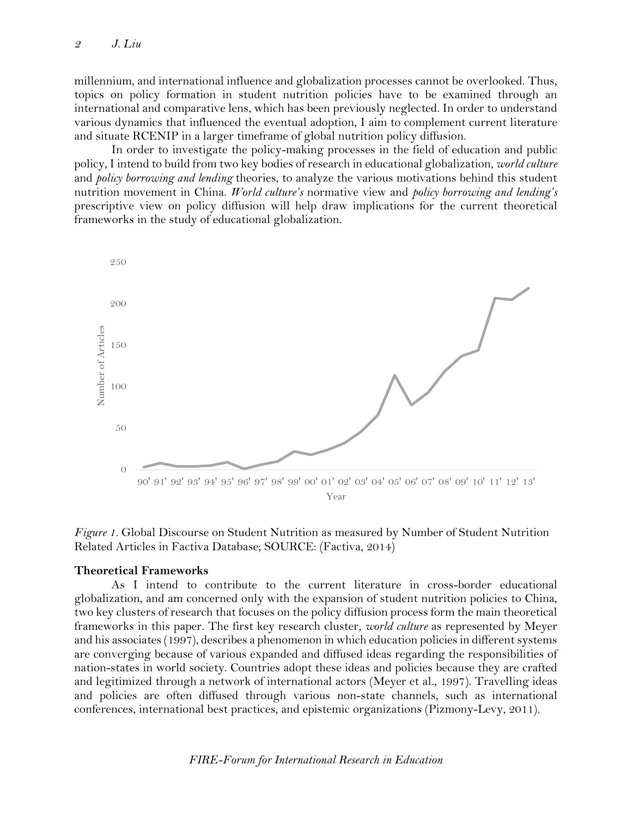millennium, and international influence and globalization processes cannot be overlooked. Thus, topics on policy formation in student nutrition policies have to be examined through an international and comparative lens, which has been previously neglected. In order to understand various dynamics that influenced the eventual adoption, I aim to complement current literature and situate RCENIP in a larger timeframe of global nutrition policy diffusion.

In order to investigate the policy-making processes in the field of education and public policy, I intend to build from two key bodies of research in educational globalization, *world culture* and *policy borrowing and lending* theories, to analyze the various motivations behind this student nutrition movement in China. *World culture's* normative view and *policy borrowing and lending's* prescriptive view on policy diffusion will help draw implications for the current theoretical frameworks in the study of educational globalization.



*Figure 1.* Global Discourse on Student Nutrition as measured by Number of Student Nutrition Related Articles in Factiva Database; SOURCE: (Factiva, 2014)

#### **Theoretical Frameworks**

As I intend to contribute to the current literature in cross-border educational globalization, and am concerned only with the expansion of student nutrition policies to China, two key clusters of research that focuses on the policy diffusion process form the main theoretical frameworks in this paper. The first key research cluster, *world culture* as represented by Meyer and his associates (1997), describes a phenomenon in which education policies in different systems are converging because of various expanded and diffused ideas regarding the responsibilities of nation-states in world society. Countries adopt these ideas and policies because they are crafted and legitimized through a network of international actors (Meyer et al., 1997). Travelling ideas and policies are often diffused through various non-state channels, such as international conferences, international best practices, and epistemic organizations (Pizmony-Levy, 2011).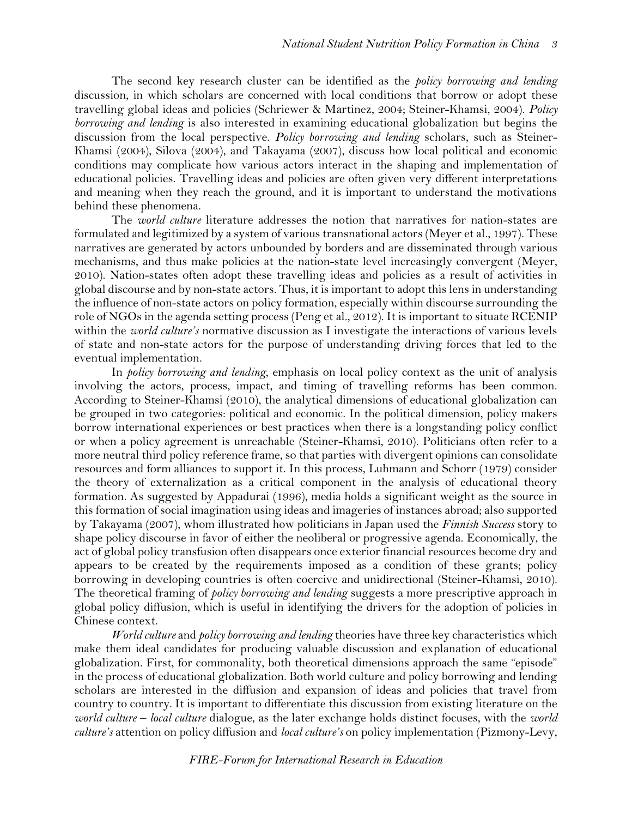The second key research cluster can be identified as the *policy borrowing and lending* discussion, in which scholars are concerned with local conditions that borrow or adopt these travelling global ideas and policies (Schriewer & Martinez, 2004; Steiner-Khamsi, 2004). *Policy borrowing and lending* is also interested in examining educational globalization but begins the discussion from the local perspective. *Policy borrowing and lending* scholars, such as Steiner-Khamsi (2004), Silova (2004), and Takayama (2007), discuss how local political and economic conditions may complicate how various actors interact in the shaping and implementation of educational policies. Travelling ideas and policies are often given very different interpretations and meaning when they reach the ground, and it is important to understand the motivations behind these phenomena.

The *world culture* literature addresses the notion that narratives for nation-states are formulated and legitimized by a system of various transnational actors (Meyer et al., 1997). These narratives are generated by actors unbounded by borders and are disseminated through various mechanisms, and thus make policies at the nation-state level increasingly convergent (Meyer, 2010). Nation-states often adopt these travelling ideas and policies as a result of activities in global discourse and by non-state actors. Thus, it is important to adopt this lens in understanding the influence of non-state actors on policy formation, especially within discourse surrounding the role of NGOs in the agenda setting process (Peng et al., 2012). It is important to situate RCENIP within the *world culture's* normative discussion as I investigate the interactions of various levels of state and non-state actors for the purpose of understanding driving forces that led to the eventual implementation.

In *policy borrowing and lending*, emphasis on local policy context as the unit of analysis involving the actors, process, impact, and timing of travelling reforms has been common. According to Steiner-Khamsi (2010), the analytical dimensions of educational globalization can be grouped in two categories: political and economic. In the political dimension, policy makers borrow international experiences or best practices when there is a longstanding policy conflict or when a policy agreement is unreachable (Steiner-Khamsi, 2010). Politicians often refer to a more neutral third policy reference frame, so that parties with divergent opinions can consolidate resources and form alliances to support it. In this process, Luhmann and Schorr (1979) consider the theory of externalization as a critical component in the analysis of educational theory formation. As suggested by Appadurai (1996), media holds a significant weight as the source in this formation of social imagination using ideas and imageries of instances abroad; also supported by Takayama (2007), whom illustrated how politicians in Japan used the *Finnish Success* story to shape policy discourse in favor of either the neoliberal or progressive agenda. Economically, the act of global policy transfusion often disappears once exterior financial resources become dry and appears to be created by the requirements imposed as a condition of these grants; policy borrowing in developing countries is often coercive and unidirectional (Steiner-Khamsi, 2010). The theoretical framing of *policy borrowing and lending* suggests a more prescriptive approach in global policy diffusion, which is useful in identifying the drivers for the adoption of policies in Chinese context.

*World culture* and *policy borrowing and lending* theories have three key characteristics which make them ideal candidates for producing valuable discussion and explanation of educational globalization. First, for commonality, both theoretical dimensions approach the same "episode" in the process of educational globalization. Both world culture and policy borrowing and lending scholars are interested in the diffusion and expansion of ideas and policies that travel from country to country. It is important to differentiate this discussion from existing literature on the *world culture* – *local culture* dialogue, as the later exchange holds distinct focuses, with the *world culture's* attention on policy diffusion and *local culture's* on policy implementation (Pizmony-Levy,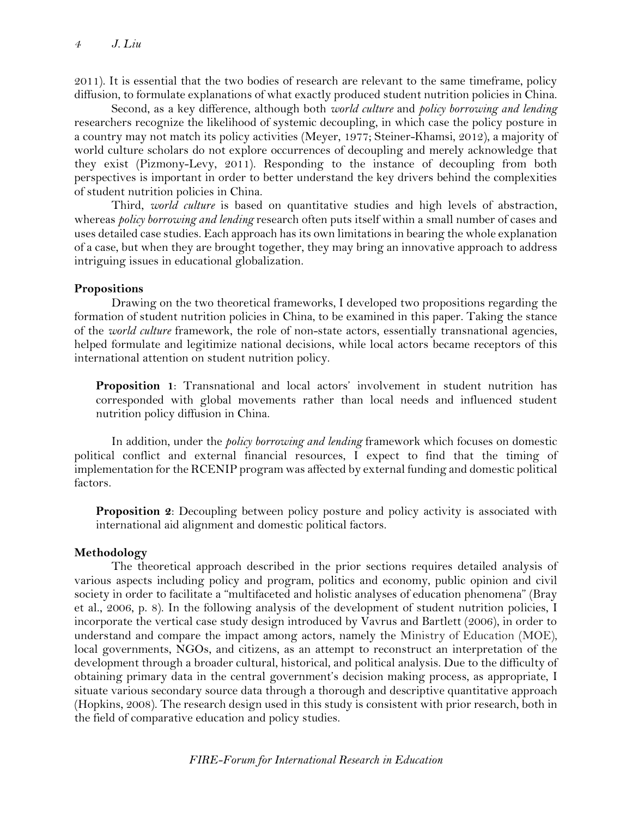2011). It is essential that the two bodies of research are relevant to the same timeframe, policy diffusion, to formulate explanations of what exactly produced student nutrition policies in China.

Second, as a key difference, although both *world culture* and *policy borrowing and lending* researchers recognize the likelihood of systemic decoupling, in which case the policy posture in a country may not match its policy activities (Meyer, 1977; Steiner-Khamsi, 2012), a majority of world culture scholars do not explore occurrences of decoupling and merely acknowledge that they exist (Pizmony-Levy, 2011). Responding to the instance of decoupling from both perspectives is important in order to better understand the key drivers behind the complexities of student nutrition policies in China.

Third, *world culture* is based on quantitative studies and high levels of abstraction, whereas *policy borrowing and lending* research often puts itself within a small number of cases and uses detailed case studies. Each approach has its own limitations in bearing the whole explanation of a case, but when they are brought together, they may bring an innovative approach to address intriguing issues in educational globalization.

#### **Propositions**

Drawing on the two theoretical frameworks, I developed two propositions regarding the formation of student nutrition policies in China, to be examined in this paper. Taking the stance of the *world culture* framework, the role of non-state actors, essentially transnational agencies, helped formulate and legitimize national decisions, while local actors became receptors of this international attention on student nutrition policy.

**Proposition 1**: Transnational and local actors' involvement in student nutrition has corresponded with global movements rather than local needs and influenced student nutrition policy diffusion in China.

In addition, under the *policy borrowing and lending* framework which focuses on domestic political conflict and external financial resources, I expect to find that the timing of implementation for the RCENIP program was affected by external funding and domestic political factors.

**Proposition 2**: Decoupling between policy posture and policy activity is associated with international aid alignment and domestic political factors.

#### **Methodology**

The theoretical approach described in the prior sections requires detailed analysis of various aspects including policy and program, politics and economy, public opinion and civil society in order to facilitate a "multifaceted and holistic analyses of education phenomena" (Bray et al., 2006, p. 8). In the following analysis of the development of student nutrition policies, I incorporate the vertical case study design introduced by Vavrus and Bartlett (2006), in order to understand and compare the impact among actors, namely the Ministry of Education (MOE), local governments, NGOs, and citizens, as an attempt to reconstruct an interpretation of the development through a broader cultural, historical, and political analysis. Due to the difficulty of obtaining primary data in the central government's decision making process, as appropriate, I situate various secondary source data through a thorough and descriptive quantitative approach (Hopkins, 2008). The research design used in this study is consistent with prior research, both in the field of comparative education and policy studies.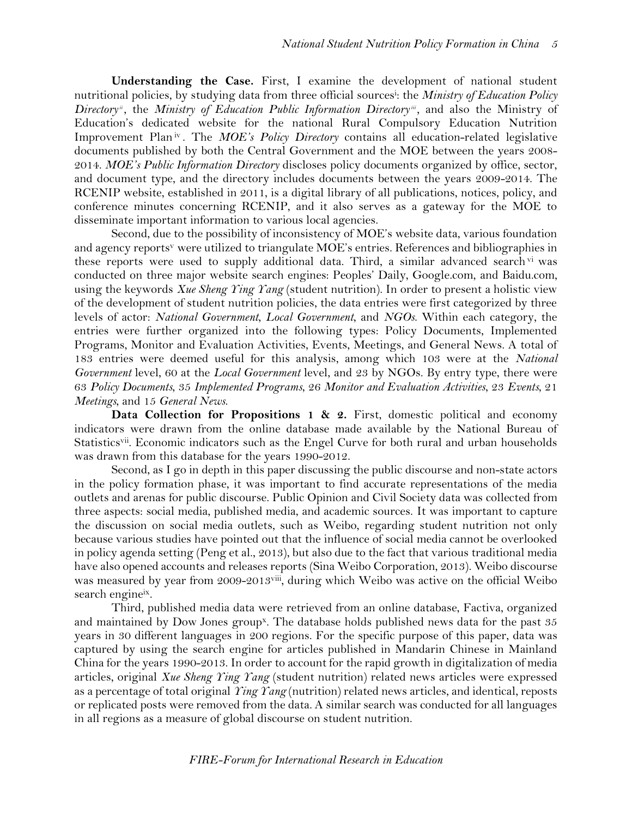**Understanding the Case.** First, I examine the development of national student nutritional policies, by studying data from three official sources<sup>i</sup> : the *Ministry of Education Policy*  Directory<sup>*ii*</sup>, the *Ministry of Education Public Information Directory<sup><i>ii*</sup></sup>, and also the Ministry of Education's dedicated website for the national Rural Compulsory Education Nutrition Improvement Plan<sup>iv</sup>. The *MOE's Policy Directory* contains all education-related legislative documents published by both the Central Government and the MOE between the years 2008- 2014. *MOE's Public Information Directory* discloses policy documents organized by office, sector, and document type, and the directory includes documents between the years 2009-2014. The RCENIP website, established in 2011, is a digital library of all publications, notices, policy, and conference minutes concerning RCENIP, and it also serves as a gateway for the MOE to disseminate important information to various local agencies.

Second, due to the possibility of inconsistency of MOE's website data, various foundation and agency reports<sup>v</sup> were utilized to triangulate MOE's entries. References and bibliographies in these reports were used to supply additional data. Third, a similar advanced search vi was conducted on three major website search engines: Peoples' Daily, Google.com, and Baidu.com, using the keywords *Xue Sheng Ying Yang* (student nutrition). In order to present a holistic view of the development of student nutrition policies, the data entries were first categorized by three levels of actor: *National Government*, *Local Government*, and *NGOs*. Within each category, the entries were further organized into the following types: Policy Documents, Implemented Programs, Monitor and Evaluation Activities, Events, Meetings, and General News. A total of 183 entries were deemed useful for this analysis, among which 103 were at the *National Government* level, 60 at the *Local Government* level, and 23 by NGOs. By entry type, there were 63 *Policy Documents*, 35 *Implemented Programs*, 26 *Monitor and Evaluation Activities*, 23 *Events*, 21 *Meetings*, and 15 *General News*.

**Data Collection for Propositions 1 & 2.** First, domestic political and economy indicators were drawn from the online database made available by the National Bureau of Statistics<sup>vii</sup>. Economic indicators such as the Engel Curve for both rural and urban households was drawn from this database for the years 1990-2012.

Second, as I go in depth in this paper discussing the public discourse and non-state actors in the policy formation phase, it was important to find accurate representations of the media outlets and arenas for public discourse. Public Opinion and Civil Society data was collected from three aspects: social media, published media, and academic sources. It was important to capture the discussion on social media outlets, such as Weibo, regarding student nutrition not only because various studies have pointed out that the influence of social media cannot be overlooked in policy agenda setting (Peng et al., 2013), but also due to the fact that various traditional media have also opened accounts and releases reports (Sina Weibo Corporation, 2013). Weibo discourse was measured by year from 2009-2013viii, during which Weibo was active on the official Weibo search engineix.

Third, published media data were retrieved from an online database, Factiva, organized and maintained by Dow Jones group<sup>x</sup>. The database holds published news data for the past 35 years in 30 different languages in 200 regions. For the specific purpose of this paper, data was captured by using the search engine for articles published in Mandarin Chinese in Mainland China for the years 1990-2013. In order to account for the rapid growth in digitalization of media articles, original *Xue Sheng Ying Yang* (student nutrition) related news articles were expressed as a percentage of total original *Ying Yang* (nutrition) related news articles, and identical, reposts or replicated posts were removed from the data. A similar search was conducted for all languages in all regions as a measure of global discourse on student nutrition.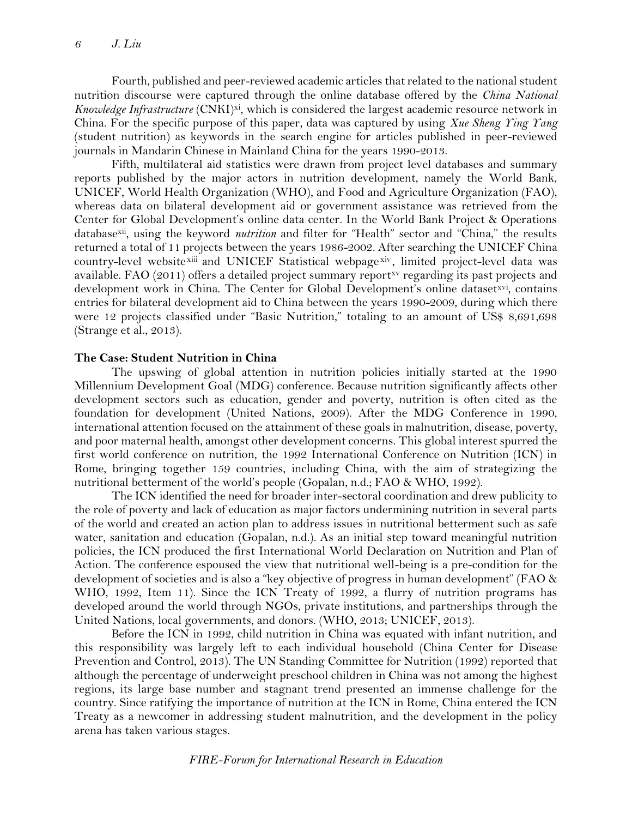Fourth, published and peer-reviewed academic articles that related to the national student nutrition discourse were captured through the online database offered by the *China National Knowledge Infrastructure* (CNKI)<sup>xi</sup>, which is considered the largest academic resource network in China. For the specific purpose of this paper, data was captured by using *Xue Sheng Ying Yang* (student nutrition) as keywords in the search engine for articles published in peer-reviewed journals in Mandarin Chinese in Mainland China for the years 1990-2013.

Fifth, multilateral aid statistics were drawn from project level databases and summary reports published by the major actors in nutrition development, namely the World Bank, UNICEF, World Health Organization (WHO), and Food and Agriculture Organization (FAO), whereas data on bilateral development aid or government assistance was retrieved from the Center for Global Development's online data center. In the World Bank Project & Operations databasexii, using the keyword *nutrition* and filter for "Health" sector and "China," the results returned a total of 11 projects between the years 1986-2002. After searching the UNICEF China country-level website xiii and UNICEF Statistical webpage xiv, limited project-level data was available. FAO (2011) offers a detailed project summary report<sup>xy</sup> regarding its past projects and development work in China. The Center for Global Development's online datasetxvi, contains entries for bilateral development aid to China between the years 1990-2009, during which there were 12 projects classified under "Basic Nutrition," totaling to an amount of US\$ 8,691,698 (Strange et al., 2013).

#### **The Case: Student Nutrition in China**

The upswing of global attention in nutrition policies initially started at the 1990 Millennium Development Goal (MDG) conference. Because nutrition significantly affects other development sectors such as education, gender and poverty, nutrition is often cited as the foundation for development (United Nations, 2009). After the MDG Conference in 1990, international attention focused on the attainment of these goals in malnutrition, disease, poverty, and poor maternal health, amongst other development concerns. This global interest spurred the first world conference on nutrition, the 1992 International Conference on Nutrition (ICN) in Rome, bringing together 159 countries, including China, with the aim of strategizing the nutritional betterment of the world's people (Gopalan, n.d.; FAO & WHO, 1992).

The ICN identified the need for broader inter-sectoral coordination and drew publicity to the role of poverty and lack of education as major factors undermining nutrition in several parts of the world and created an action plan to address issues in nutritional betterment such as safe water, sanitation and education (Gopalan, n.d.). As an initial step toward meaningful nutrition policies, the ICN produced the first International World Declaration on Nutrition and Plan of Action. The conference espoused the view that nutritional well-being is a pre-condition for the development of societies and is also a "key objective of progress in human development" (FAO & WHO, 1992, Item 11). Since the ICN Treaty of 1992, a flurry of nutrition programs has developed around the world through NGOs, private institutions, and partnerships through the United Nations, local governments, and donors. (WHO, 2013; UNICEF, 2013).

Before the ICN in 1992, child nutrition in China was equated with infant nutrition, and this responsibility was largely left to each individual household (China Center for Disease Prevention and Control, 2013). The UN Standing Committee for Nutrition (1992) reported that although the percentage of underweight preschool children in China was not among the highest regions, its large base number and stagnant trend presented an immense challenge for the country. Since ratifying the importance of nutrition at the ICN in Rome, China entered the ICN Treaty as a newcomer in addressing student malnutrition, and the development in the policy arena has taken various stages.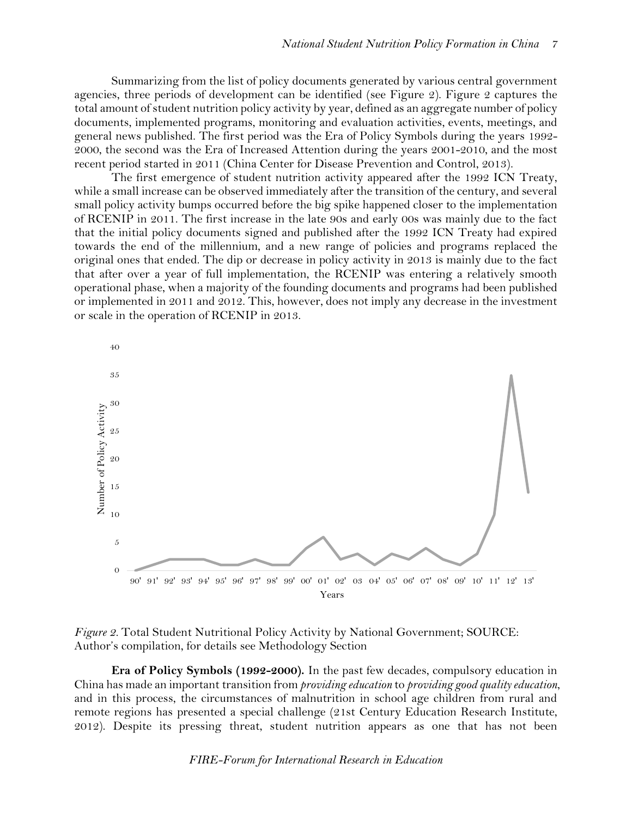Summarizing from the list of policy documents generated by various central government agencies, three periods of development can be identified (see Figure 2). Figure 2 captures the total amount of student nutrition policy activity by year, defined as an aggregate number of policy documents, implemented programs, monitoring and evaluation activities, events, meetings, and general news published. The first period was the Era of Policy Symbols during the years 1992- 2000, the second was the Era of Increased Attention during the years 2001-2010, and the most recent period started in 2011 (China Center for Disease Prevention and Control, 2013).

The first emergence of student nutrition activity appeared after the 1992 ICN Treaty, while a small increase can be observed immediately after the transition of the century, and several small policy activity bumps occurred before the big spike happened closer to the implementation of RCENIP in 2011. The first increase in the late 90s and early 00s was mainly due to the fact that the initial policy documents signed and published after the 1992 ICN Treaty had expired towards the end of the millennium, and a new range of policies and programs replaced the original ones that ended. The dip or decrease in policy activity in 2013 is mainly due to the fact that after over a year of full implementation, the RCENIP was entering a relatively smooth operational phase, when a majority of the founding documents and programs had been published or implemented in 2011 and 2012. This, however, does not imply any decrease in the investment or scale in the operation of RCENIP in 2013.





**Era of Policy Symbols (1992-2000).** In the past few decades, compulsory education in China has made an important transition from *providing education* to *providing good quality education*, and in this process, the circumstances of malnutrition in school age children from rural and remote regions has presented a special challenge (21st Century Education Research Institute, 2012). Despite its pressing threat, student nutrition appears as one that has not been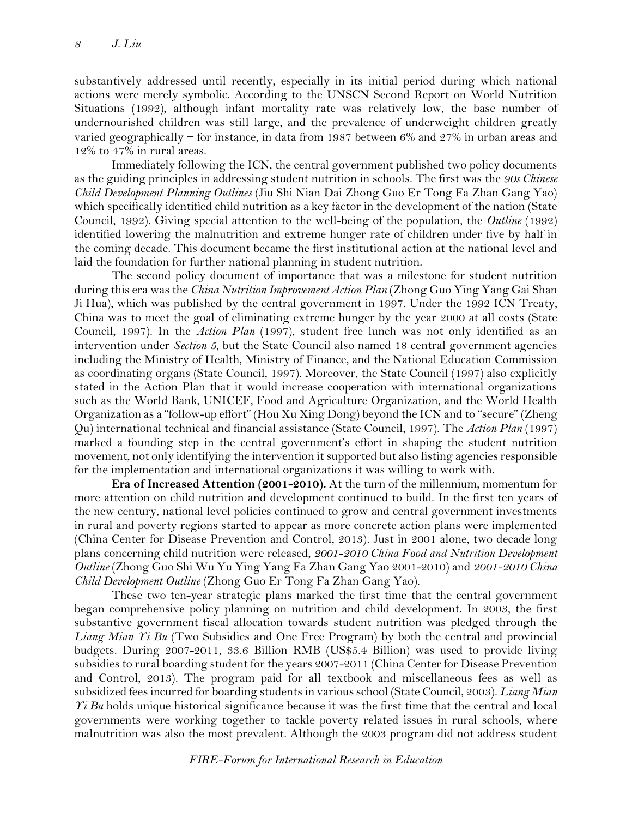substantively addressed until recently, especially in its initial period during which national actions were merely symbolic. According to the UNSCN Second Report on World Nutrition Situations (1992), although infant mortality rate was relatively low, the base number of undernourished children was still large, and the prevalence of underweight children greatly varied geographically − for instance, in data from 1987 between 6% and 27% in urban areas and 12% to 47% in rural areas.

Immediately following the ICN, the central government published two policy documents as the guiding principles in addressing student nutrition in schools. The first was the *90s Chinese Child Development Planning Outlines* (Jiu Shi Nian Dai Zhong Guo Er Tong Fa Zhan Gang Yao) which specifically identified child nutrition as a key factor in the development of the nation (State Council, 1992). Giving special attention to the well-being of the population, the *Outline* (1992) identified lowering the malnutrition and extreme hunger rate of children under five by half in the coming decade. This document became the first institutional action at the national level and laid the foundation for further national planning in student nutrition.

The second policy document of importance that was a milestone for student nutrition during this era was the *China Nutrition Improvement Action Plan* (Zhong Guo Ying Yang Gai Shan Ji Hua), which was published by the central government in 1997. Under the 1992 ICN Treaty, China was to meet the goal of eliminating extreme hunger by the year 2000 at all costs (State Council, 1997). In the *Action Plan* (1997), student free lunch was not only identified as an intervention under *Section 5*, but the State Council also named 18 central government agencies including the Ministry of Health, Ministry of Finance, and the National Education Commission as coordinating organs (State Council, 1997). Moreover, the State Council (1997) also explicitly stated in the Action Plan that it would increase cooperation with international organizations such as the World Bank, UNICEF, Food and Agriculture Organization, and the World Health Organization as a "follow-up effort" (Hou Xu Xing Dong) beyond the ICN and to "secure" (Zheng Qu) international technical and financial assistance (State Council, 1997). The *Action Plan* (1997) marked a founding step in the central government's effort in shaping the student nutrition movement, not only identifying the intervention it supported but also listing agencies responsible for the implementation and international organizations it was willing to work with.

**Era of Increased Attention (2001-2010).** At the turn of the millennium, momentum for more attention on child nutrition and development continued to build. In the first ten years of the new century, national level policies continued to grow and central government investments in rural and poverty regions started to appear as more concrete action plans were implemented (China Center for Disease Prevention and Control, 2013). Just in 2001 alone, two decade long plans concerning child nutrition were released, *2001-2010 China Food and Nutrition Development Outline* (Zhong Guo Shi Wu Yu Ying Yang Fa Zhan Gang Yao 2001-2010) and *2001-2010 China Child Development Outline* (Zhong Guo Er Tong Fa Zhan Gang Yao).

These two ten-year strategic plans marked the first time that the central government began comprehensive policy planning on nutrition and child development. In 2003, the first substantive government fiscal allocation towards student nutrition was pledged through the *Liang Mian Yi Bu* (Two Subsidies and One Free Program) by both the central and provincial budgets. During 2007-2011, 33.6 Billion RMB (US\$5.4 Billion) was used to provide living subsidies to rural boarding student for the years 2007-2011 (China Center for Disease Prevention and Control, 2013). The program paid for all textbook and miscellaneous fees as well as subsidized fees incurred for boarding students in various school (State Council, 2003). *Liang Mian Yi Bu* holds unique historical significance because it was the first time that the central and local governments were working together to tackle poverty related issues in rural schools, where malnutrition was also the most prevalent. Although the 2003 program did not address student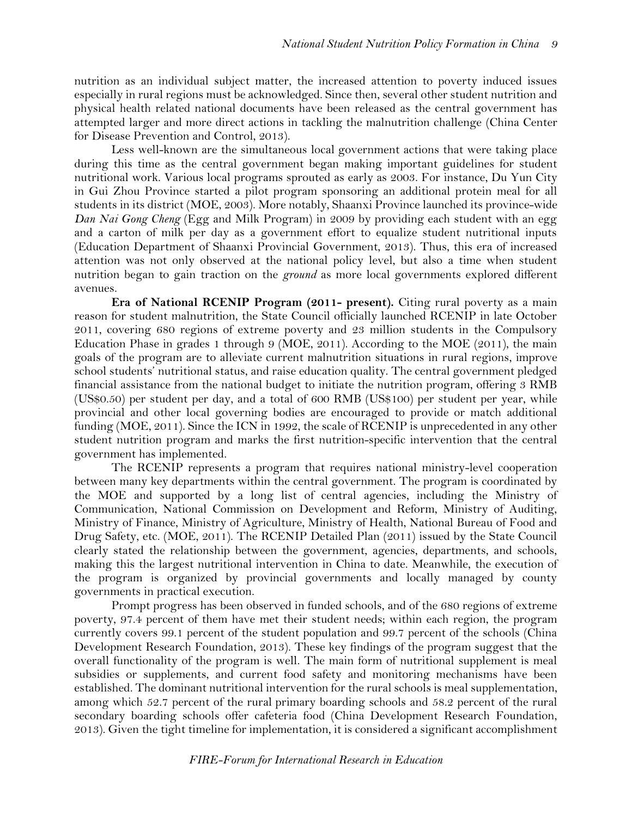nutrition as an individual subject matter, the increased attention to poverty induced issues especially in rural regions must be acknowledged. Since then, several other student nutrition and physical health related national documents have been released as the central government has attempted larger and more direct actions in tackling the malnutrition challenge (China Center for Disease Prevention and Control, 2013).

Less well-known are the simultaneous local government actions that were taking place during this time as the central government began making important guidelines for student nutritional work. Various local programs sprouted as early as 2003. For instance, Du Yun City in Gui Zhou Province started a pilot program sponsoring an additional protein meal for all students in its district (MOE, 2003). More notably, Shaanxi Province launched its province-wide *Dan Nai Gong Cheng* (Egg and Milk Program) in 2009 by providing each student with an egg and a carton of milk per day as a government effort to equalize student nutritional inputs (Education Department of Shaanxi Provincial Government, 2013). Thus, this era of increased attention was not only observed at the national policy level, but also a time when student nutrition began to gain traction on the *ground* as more local governments explored different avenues.

**Era of National RCENIP Program (2011- present).** Citing rural poverty as a main reason for student malnutrition, the State Council officially launched RCENIP in late October 2011, covering 680 regions of extreme poverty and 23 million students in the Compulsory Education Phase in grades 1 through 9 (MOE, 2011). According to the MOE (2011), the main goals of the program are to alleviate current malnutrition situations in rural regions, improve school students' nutritional status, and raise education quality. The central government pledged financial assistance from the national budget to initiate the nutrition program, offering 3 RMB (US\$0.50) per student per day, and a total of 600 RMB (US\$100) per student per year, while provincial and other local governing bodies are encouraged to provide or match additional funding (MOE, 2011). Since the ICN in 1992, the scale of RCENIP is unprecedented in any other student nutrition program and marks the first nutrition-specific intervention that the central government has implemented.

The RCENIP represents a program that requires national ministry-level cooperation between many key departments within the central government. The program is coordinated by the MOE and supported by a long list of central agencies, including the Ministry of Communication, National Commission on Development and Reform, Ministry of Auditing, Ministry of Finance, Ministry of Agriculture, Ministry of Health, National Bureau of Food and Drug Safety, etc. (MOE, 2011). The RCENIP Detailed Plan (2011) issued by the State Council clearly stated the relationship between the government, agencies, departments, and schools, making this the largest nutritional intervention in China to date. Meanwhile, the execution of the program is organized by provincial governments and locally managed by county governments in practical execution.

Prompt progress has been observed in funded schools, and of the 680 regions of extreme poverty, 97.4 percent of them have met their student needs; within each region, the program currently covers 99.1 percent of the student population and 99.7 percent of the schools (China Development Research Foundation, 2013). These key findings of the program suggest that the overall functionality of the program is well. The main form of nutritional supplement is meal subsidies or supplements, and current food safety and monitoring mechanisms have been established. The dominant nutritional intervention for the rural schools is meal supplementation, among which 52.7 percent of the rural primary boarding schools and 58.2 percent of the rural secondary boarding schools offer cafeteria food (China Development Research Foundation, 2013). Given the tight timeline for implementation, it is considered a significant accomplishment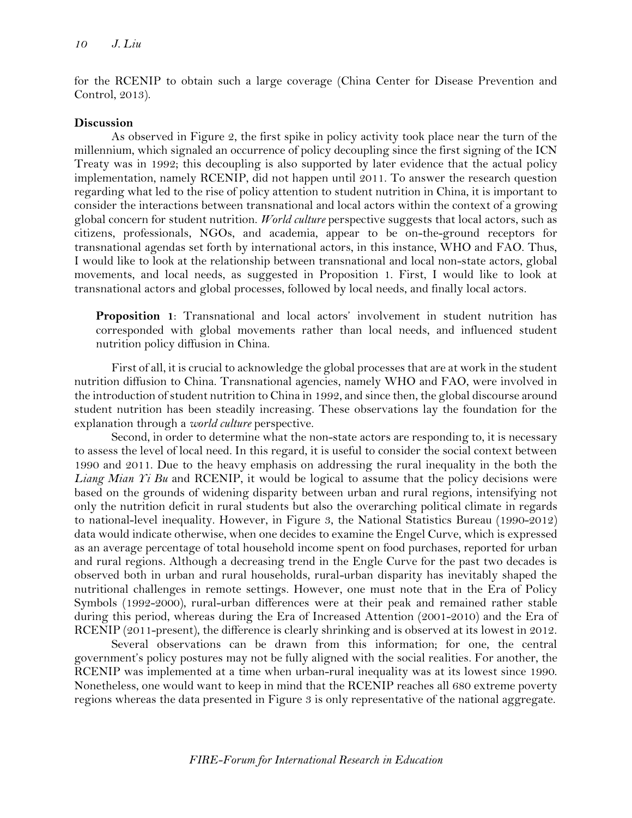for the RCENIP to obtain such a large coverage (China Center for Disease Prevention and Control, 2013).

#### **Discussion**

As observed in Figure 2, the first spike in policy activity took place near the turn of the millennium, which signaled an occurrence of policy decoupling since the first signing of the ICN Treaty was in 1992; this decoupling is also supported by later evidence that the actual policy implementation, namely RCENIP, did not happen until 2011. To answer the research question regarding what led to the rise of policy attention to student nutrition in China, it is important to consider the interactions between transnational and local actors within the context of a growing global concern for student nutrition. *World culture* perspective suggests that local actors, such as citizens, professionals, NGOs, and academia, appear to be on-the-ground receptors for transnational agendas set forth by international actors, in this instance, WHO and FAO. Thus, I would like to look at the relationship between transnational and local non-state actors, global movements, and local needs, as suggested in Proposition 1. First, I would like to look at transnational actors and global processes, followed by local needs, and finally local actors.

**Proposition 1**: Transnational and local actors' involvement in student nutrition has corresponded with global movements rather than local needs, and influenced student nutrition policy diffusion in China.

First of all, it is crucial to acknowledge the global processes that are at work in the student nutrition diffusion to China. Transnational agencies, namely WHO and FAO, were involved in the introduction of student nutrition to China in 1992, and since then, the global discourse around student nutrition has been steadily increasing. These observations lay the foundation for the explanation through a *world culture* perspective.

Second, in order to determine what the non-state actors are responding to, it is necessary to assess the level of local need. In this regard, it is useful to consider the social context between 1990 and 2011. Due to the heavy emphasis on addressing the rural inequality in the both the *Liang Mian Yi Bu* and RCENIP, it would be logical to assume that the policy decisions were based on the grounds of widening disparity between urban and rural regions, intensifying not only the nutrition deficit in rural students but also the overarching political climate in regards to national-level inequality. However, in Figure 3, the National Statistics Bureau (1990-2012) data would indicate otherwise, when one decides to examine the Engel Curve, which is expressed as an average percentage of total household income spent on food purchases, reported for urban and rural regions. Although a decreasing trend in the Engle Curve for the past two decades is observed both in urban and rural households, rural-urban disparity has inevitably shaped the nutritional challenges in remote settings. However, one must note that in the Era of Policy Symbols (1992-2000), rural-urban differences were at their peak and remained rather stable during this period, whereas during the Era of Increased Attention (2001-2010) and the Era of RCENIP (2011-present), the difference is clearly shrinking and is observed at its lowest in 2012.

Several observations can be drawn from this information; for one, the central government's policy postures may not be fully aligned with the social realities. For another, the RCENIP was implemented at a time when urban-rural inequality was at its lowest since 1990. Nonetheless, one would want to keep in mind that the RCENIP reaches all 680 extreme poverty regions whereas the data presented in Figure 3 is only representative of the national aggregate.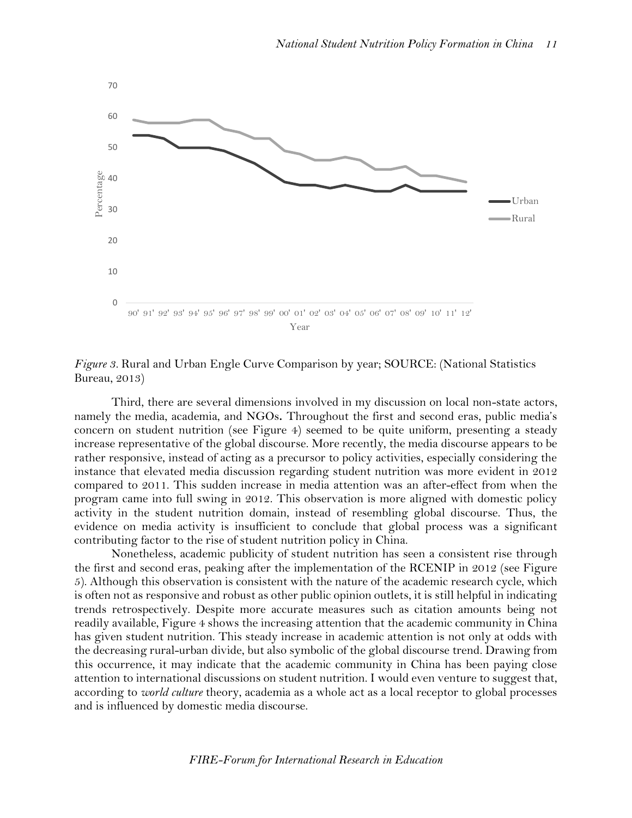

*Figure 3.* Rural and Urban Engle Curve Comparison by year; SOURCE: (National Statistics Bureau, 2013)

Third, there are several dimensions involved in my discussion on local non-state actors, namely the media, academia, and NGOs**.** Throughout the first and second eras, public media's concern on student nutrition (see Figure 4) seemed to be quite uniform, presenting a steady increase representative of the global discourse. More recently, the media discourse appears to be rather responsive, instead of acting as a precursor to policy activities, especially considering the instance that elevated media discussion regarding student nutrition was more evident in 2012 compared to 2011. This sudden increase in media attention was an after-effect from when the program came into full swing in 2012. This observation is more aligned with domestic policy activity in the student nutrition domain, instead of resembling global discourse. Thus, the evidence on media activity is insufficient to conclude that global process was a significant contributing factor to the rise of student nutrition policy in China.

Nonetheless, academic publicity of student nutrition has seen a consistent rise through the first and second eras, peaking after the implementation of the RCENIP in 2012 (see Figure 5). Although this observation is consistent with the nature of the academic research cycle, which is often not as responsive and robust as other public opinion outlets, it is still helpful in indicating trends retrospectively. Despite more accurate measures such as citation amounts being not readily available, Figure 4 shows the increasing attention that the academic community in China has given student nutrition. This steady increase in academic attention is not only at odds with the decreasing rural-urban divide, but also symbolic of the global discourse trend. Drawing from this occurrence, it may indicate that the academic community in China has been paying close attention to international discussions on student nutrition. I would even venture to suggest that, according to *world culture* theory, academia as a whole act as a local receptor to global processes and is influenced by domestic media discourse.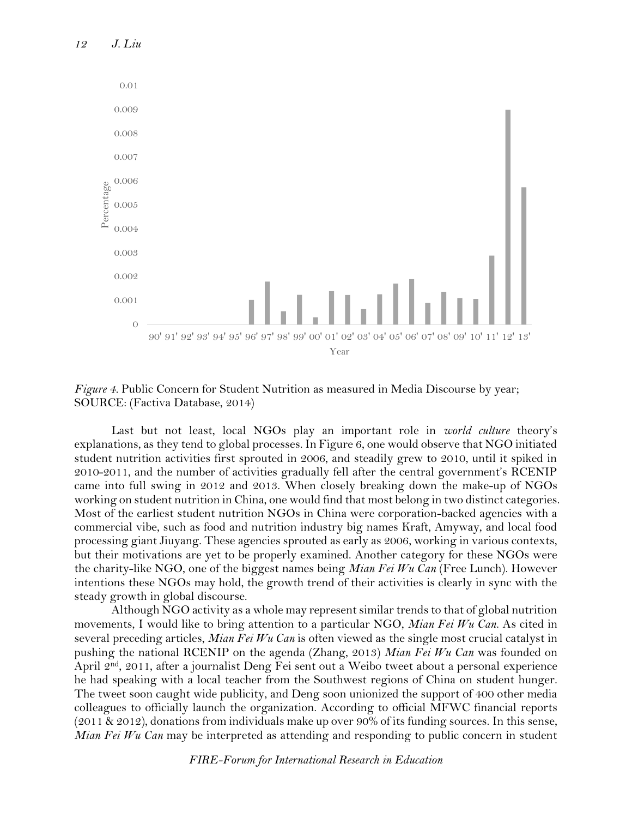

*Figure 4.* Public Concern for Student Nutrition as measured in Media Discourse by year; SOURCE: (Factiva Database, 2014)

Last but not least, local NGOs play an important role in *world culture* theory's explanations, as they tend to global processes. In Figure 6, one would observe that NGO initiated student nutrition activities first sprouted in 2006, and steadily grew to 2010, until it spiked in 2010-2011, and the number of activities gradually fell after the central government's RCENIP came into full swing in 2012 and 2013. When closely breaking down the make-up of NGOs working on student nutrition in China, one would find that most belong in two distinct categories. Most of the earliest student nutrition NGOs in China were corporation-backed agencies with a commercial vibe, such as food and nutrition industry big names Kraft, Amyway, and local food processing giant Jiuyang. These agencies sprouted as early as 2006, working in various contexts, but their motivations are yet to be properly examined. Another category for these NGOs were the charity-like NGO, one of the biggest names being *Mian Fei Wu Can* (Free Lunch). However intentions these NGOs may hold, the growth trend of their activities is clearly in sync with the steady growth in global discourse.

Although NGO activity as a whole may represent similar trends to that of global nutrition movements, I would like to bring attention to a particular NGO, *Mian Fei Wu Can*. As cited in several preceding articles, *Mian Fei Wu Can* is often viewed as the single most crucial catalyst in pushing the national RCENIP on the agenda (Zhang, 2013) *Mian Fei Wu Can* was founded on April 2<sup>nd</sup>, 2011, after a journalist Deng Fei sent out a Weibo tweet about a personal experience he had speaking with a local teacher from the Southwest regions of China on student hunger. The tweet soon caught wide publicity, and Deng soon unionized the support of 400 other media colleagues to officially launch the organization. According to official MFWC financial reports (2011 & 2012), donations from individuals make up over 90% of its funding sources. In this sense, *Mian Fei Wu Can* may be interpreted as attending and responding to public concern in student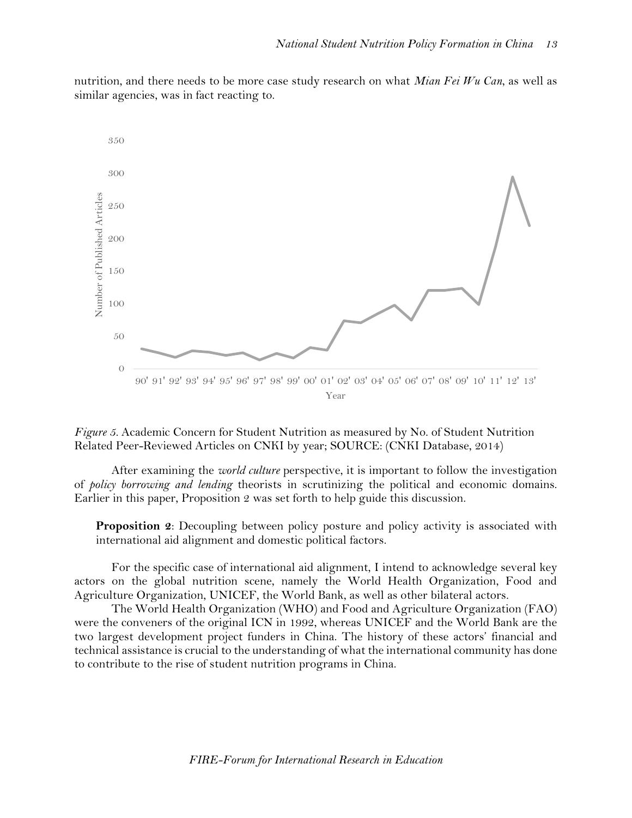nutrition, and there needs to be more case study research on what *Mian Fei Wu Can*, as well as similar agencies, was in fact reacting to.





After examining the *world culture* perspective, it is important to follow the investigation of *policy borrowing and lending* theorists in scrutinizing the political and economic domains. Earlier in this paper, Proposition 2 was set forth to help guide this discussion.

**Proposition 2**: Decoupling between policy posture and policy activity is associated with international aid alignment and domestic political factors.

For the specific case of international aid alignment, I intend to acknowledge several key actors on the global nutrition scene, namely the World Health Organization, Food and Agriculture Organization, UNICEF, the World Bank, as well as other bilateral actors.

The World Health Organization (WHO) and Food and Agriculture Organization (FAO) were the conveners of the original ICN in 1992, whereas UNICEF and the World Bank are the two largest development project funders in China. The history of these actors' financial and technical assistance is crucial to the understanding of what the international community has done to contribute to the rise of student nutrition programs in China.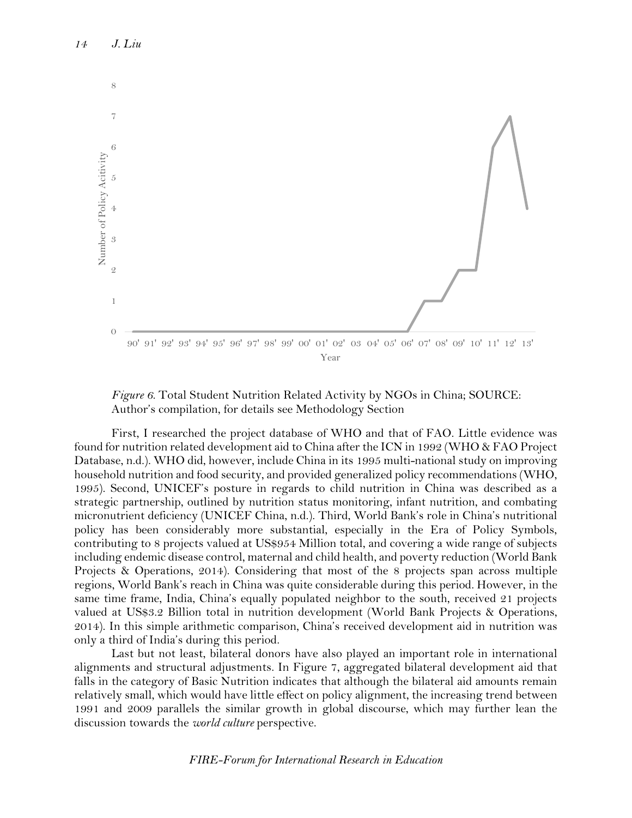



First, I researched the project database of WHO and that of FAO. Little evidence was found for nutrition related development aid to China after the ICN in 1992 (WHO & FAO Project Database, n.d.). WHO did, however, include China in its 1995 multi-national study on improving household nutrition and food security, and provided generalized policy recommendations (WHO, 1995). Second, UNICEF's posture in regards to child nutrition in China was described as a strategic partnership, outlined by nutrition status monitoring, infant nutrition, and combating micronutrient deficiency (UNICEF China, n.d.). Third, World Bank's role in China's nutritional policy has been considerably more substantial, especially in the Era of Policy Symbols, contributing to 8 projects valued at US\$954 Million total, and covering a wide range of subjects including endemic disease control, maternal and child health, and poverty reduction (World Bank Projects & Operations, 2014). Considering that most of the 8 projects span across multiple regions, World Bank's reach in China was quite considerable during this period. However, in the same time frame, India, China's equally populated neighbor to the south, received 21 projects valued at US\$3.2 Billion total in nutrition development (World Bank Projects & Operations, 2014). In this simple arithmetic comparison, China's received development aid in nutrition was only a third of India's during this period.

Last but not least, bilateral donors have also played an important role in international alignments and structural adjustments. In Figure 7, aggregated bilateral development aid that falls in the category of Basic Nutrition indicates that although the bilateral aid amounts remain relatively small, which would have little effect on policy alignment, the increasing trend between 1991 and 2009 parallels the similar growth in global discourse, which may further lean the discussion towards the *world culture* perspective.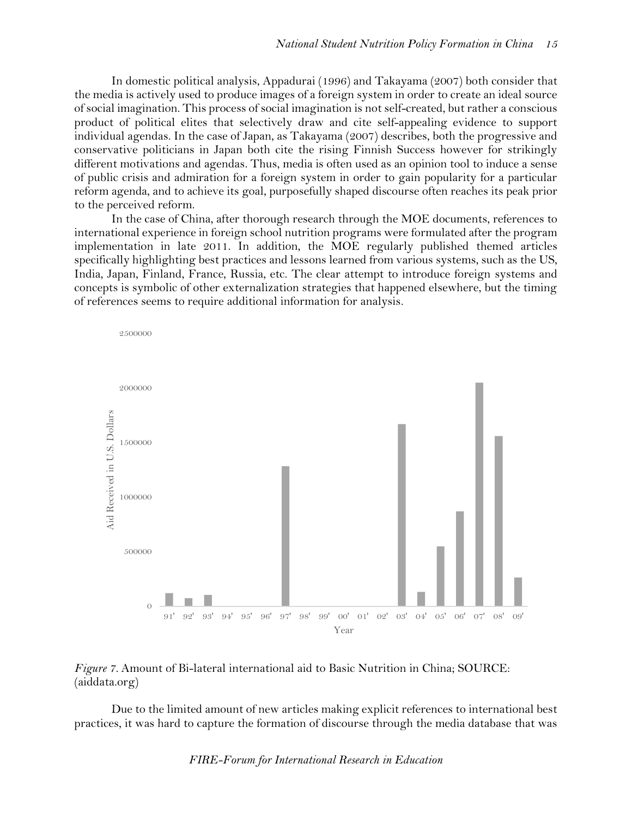In domestic political analysis, Appadurai (1996) and Takayama (2007) both consider that the media is actively used to produce images of a foreign system in order to create an ideal source of social imagination. This process of social imagination is not self-created, but rather a conscious product of political elites that selectively draw and cite self-appealing evidence to support individual agendas. In the case of Japan, as Takayama (2007) describes, both the progressive and conservative politicians in Japan both cite the rising Finnish Success however for strikingly different motivations and agendas. Thus, media is often used as an opinion tool to induce a sense of public crisis and admiration for a foreign system in order to gain popularity for a particular reform agenda, and to achieve its goal, purposefully shaped discourse often reaches its peak prior to the perceived reform.

In the case of China, after thorough research through the MOE documents, references to international experience in foreign school nutrition programs were formulated after the program implementation in late 2011. In addition, the MOE regularly published themed articles specifically highlighting best practices and lessons learned from various systems, such as the US, India, Japan, Finland, France, Russia, etc. The clear attempt to introduce foreign systems and concepts is symbolic of other externalization strategies that happened elsewhere, but the timing of references seems to require additional information for analysis.



#### *Figure 7.* Amount of Bi-lateral international aid to Basic Nutrition in China; SOURCE: (aiddata.org)

Due to the limited amount of new articles making explicit references to international best practices, it was hard to capture the formation of discourse through the media database that was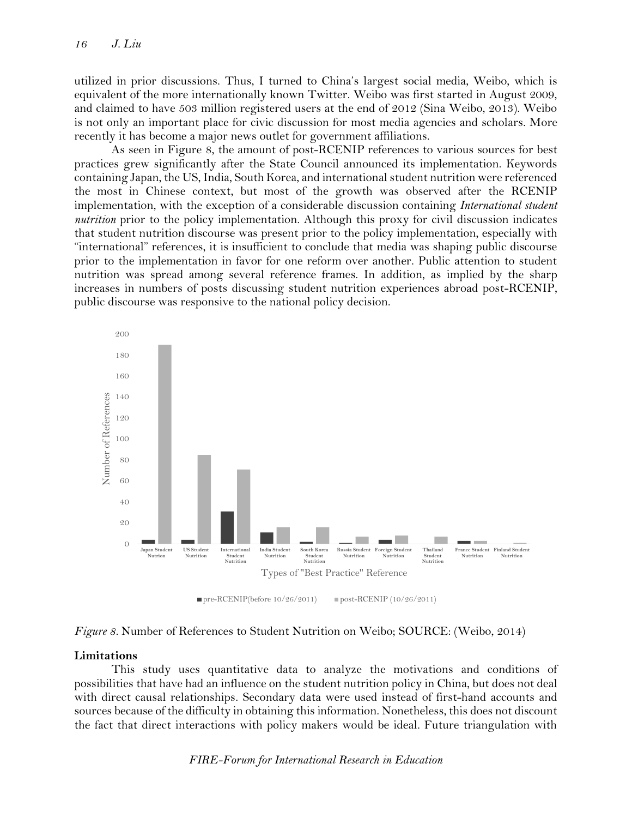utilized in prior discussions. Thus, I turned to China's largest social media, Weibo, which is equivalent of the more internationally known Twitter. Weibo was first started in August 2009, and claimed to have 503 million registered users at the end of 2012 (Sina Weibo, 2013). Weibo is not only an important place for civic discussion for most media agencies and scholars. More recently it has become a major news outlet for government affiliations.

As seen in Figure 8, the amount of post-RCENIP references to various sources for best practices grew significantly after the State Council announced its implementation. Keywords containing Japan, the US, India, South Korea, and international student nutrition were referenced the most in Chinese context, but most of the growth was observed after the RCENIP implementation, with the exception of a considerable discussion containing *International student nutrition* prior to the policy implementation. Although this proxy for civil discussion indicates that student nutrition discourse was present prior to the policy implementation, especially with "international" references, it is insufficient to conclude that media was shaping public discourse prior to the implementation in favor for one reform over another. Public attention to student nutrition was spread among several reference frames. In addition, as implied by the sharp increases in numbers of posts discussing student nutrition experiences abroad post-RCENIP, public discourse was responsive to the national policy decision.





#### **Limitations**

This study uses quantitative data to analyze the motivations and conditions of possibilities that have had an influence on the student nutrition policy in China, but does not deal with direct causal relationships. Secondary data were used instead of first-hand accounts and sources because of the difficulty in obtaining this information. Nonetheless, this does not discount the fact that direct interactions with policy makers would be ideal. Future triangulation with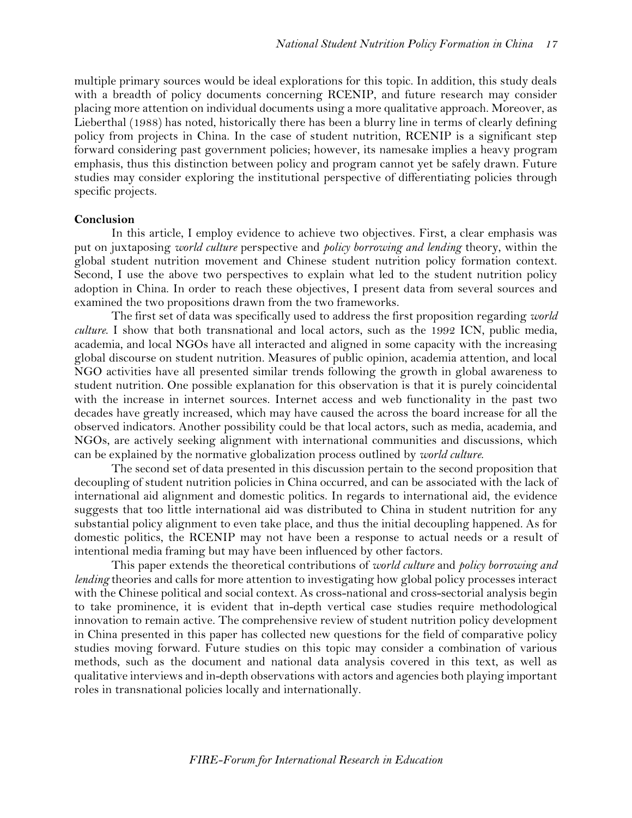multiple primary sources would be ideal explorations for this topic. In addition, this study deals with a breadth of policy documents concerning RCENIP, and future research may consider placing more attention on individual documents using a more qualitative approach. Moreover, as Lieberthal (1988) has noted, historically there has been a blurry line in terms of clearly defining policy from projects in China. In the case of student nutrition, RCENIP is a significant step forward considering past government policies; however, its namesake implies a heavy program emphasis, thus this distinction between policy and program cannot yet be safely drawn. Future studies may consider exploring the institutional perspective of differentiating policies through specific projects.

#### **Conclusion**

In this article, I employ evidence to achieve two objectives. First, a clear emphasis was put on juxtaposing *world culture* perspective and *policy borrowing and lending* theory, within the global student nutrition movement and Chinese student nutrition policy formation context. Second, I use the above two perspectives to explain what led to the student nutrition policy adoption in China. In order to reach these objectives, I present data from several sources and examined the two propositions drawn from the two frameworks.

The first set of data was specifically used to address the first proposition regarding *world culture*. I show that both transnational and local actors, such as the 1992 ICN, public media, academia, and local NGOs have all interacted and aligned in some capacity with the increasing global discourse on student nutrition. Measures of public opinion, academia attention, and local NGO activities have all presented similar trends following the growth in global awareness to student nutrition. One possible explanation for this observation is that it is purely coincidental with the increase in internet sources. Internet access and web functionality in the past two decades have greatly increased, which may have caused the across the board increase for all the observed indicators. Another possibility could be that local actors, such as media, academia, and NGOs, are actively seeking alignment with international communities and discussions, which can be explained by the normative globalization process outlined by *world culture*.

The second set of data presented in this discussion pertain to the second proposition that decoupling of student nutrition policies in China occurred, and can be associated with the lack of international aid alignment and domestic politics. In regards to international aid, the evidence suggests that too little international aid was distributed to China in student nutrition for any substantial policy alignment to even take place, and thus the initial decoupling happened. As for domestic politics, the RCENIP may not have been a response to actual needs or a result of intentional media framing but may have been influenced by other factors.

This paper extends the theoretical contributions of *world culture* and *policy borrowing and lending* theories and calls for more attention to investigating how global policy processes interact with the Chinese political and social context. As cross-national and cross-sectorial analysis begin to take prominence, it is evident that in-depth vertical case studies require methodological innovation to remain active. The comprehensive review of student nutrition policy development in China presented in this paper has collected new questions for the field of comparative policy studies moving forward. Future studies on this topic may consider a combination of various methods, such as the document and national data analysis covered in this text, as well as qualitative interviews and in-depth observations with actors and agencies both playing important roles in transnational policies locally and internationally.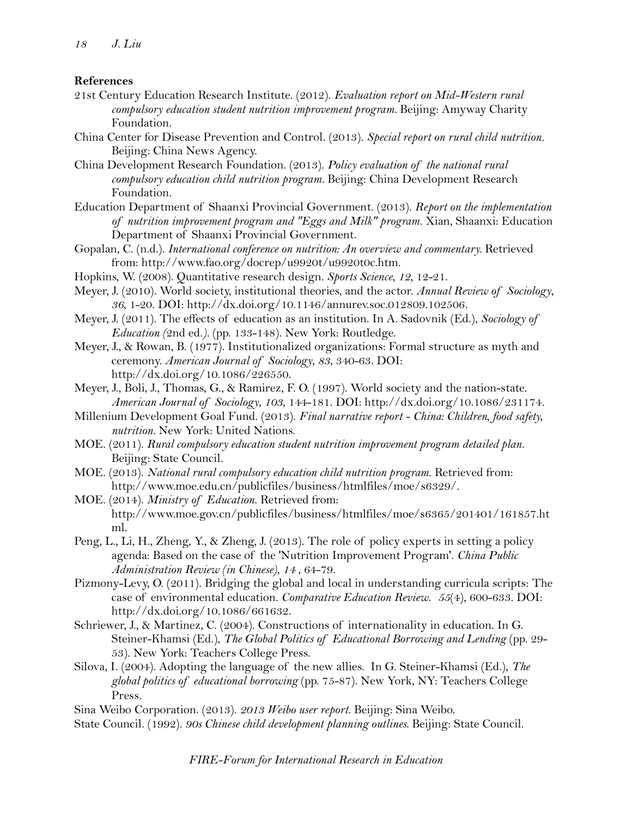#### **References**

- 21st Century Education Research Institute. (2012). *Evaluation report on Mid-Western rural compulsory education student nutrition improvement program.* Beijing: Amyway Charity Foundation.
- China Center for Disease Prevention and Control. (2013). *Special report on rural child nutrition.* Beijing: China News Agency.
- China Development Research Foundation. (2013). *Policy evaluation of the national rural compulsory education child nutrition program.* Beijing: China Development Research Foundation.
- Education Department of Shaanxi Provincial Government. (2013). *Report on the implementation of nutrition improvement program and "Eggs and Milk" program.* Xian, Shaanxi: Education Department of Shaanxi Provincial Government.
- Gopalan, C. (n.d.). *International conference on nutrition: An overview and commentary.* Retrieved from: http://www.fao.org/docrep/u9920t/u9920t0c.htm.
- Hopkins, W. (2008). Quantitative research design. *Sports Science*, *12*, 12-21.
- Meyer, J. (2010). World society, institutional theories, and the actor. *Annual Review of Sociology*, *36*, 1-20. DOI: http://dx.doi.org/10.1146/annurev.soc.012809.102506.
- Meyer, J. (2011). The effects of education as an institution. In A. Sadovnik (Ed.), *Sociology of Education (*2nd ed.*).* (pp. 133-148). New York: Routledge.
- Meyer, J., & Rowan, B. (1977). Institutionalized organizations: Formal structure as myth and ceremony. *American Journal of Sociology*, *83*, 340-63. DOI: http://dx.doi.org/10.1086/226550.
- Meyer, J., Boli, J., Thomas, G., & Ramirez, F. O. (1997). World society and the nation-state. *American Journal of Sociology*, *103*, 144-181. DOI: http://dx.doi.org/10.1086/231174.
- Millenium Development Goal Fund. (2013). *Final narrative report - China: Children, food safety, nutrition.* New York: United Nations.
- MOE. (2011). *Rural compulsory education student nutrition improvement program detailed plan.* Beijing: State Council.
- MOE. (2013). *National rural compulsory education child nutrition program*. Retrieved from: http://www.moe.edu.cn/publicfiles/business/htmlfiles/moe/s6329/.
- MOE. (2014). *Ministry of Education*. Retrieved from: http://www.moe.gov.cn/publicfiles/business/htmlfiles/moe/s6365/201401/161857.ht ml.
- Peng, L., Li, H., Zheng, Y., & Zheng, J. (2013). The role of policy experts in setting a policy agenda: Based on the case of the 'Nutrition Improvement Program'. *China Public Administration Review (in Chinese)*, *14* , 64-79.
- Pizmony-Levy, O. (2011). Bridging the global and local in understanding curricula scripts: The case of environmental education. *Comparative Education Review*. *55*(4), 600-633. DOI: http://dx.doi.org/10.1086/661632.
- Schriewer, J., & Martinez, C. (2004). Constructions of internationality in education. In G. Steiner-Khamsi (Ed.), *The Global Politics of Educational Borrowing and Lending* (pp. 29- 53). New York: Teachers College Press.
- Silova, I. (2004). Adopting the language of the new allies. In G. Steiner-Khamsi (Ed.), *The global politics of educational borrowing* (pp. 75-87). New York, NY: Teachers College Press.

Sina Weibo Corporation. (2013). *2013 Weibo user report.* Beijing: Sina Weibo.

State Council. (1992). *90s Chinese child development planning outlines.* Beijing: State Council.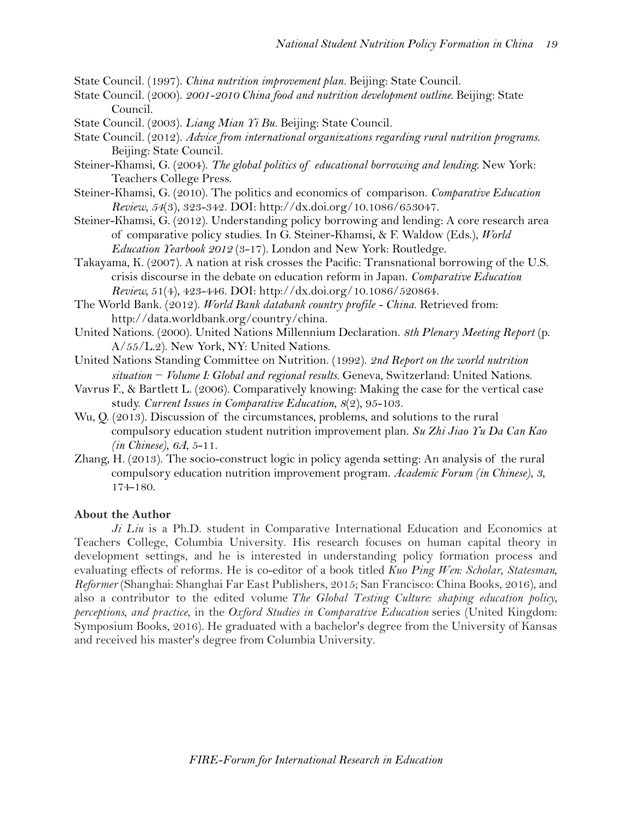State Council. (1997). *China nutrition improvement plan.* Beijing: State Council.

- State Council. (2000). *2001-2010 China food and nutrition development outline.* Beijing: State Council.
- State Council. (2003). *Liang Mian Yi Bu.* Beijing: State Council.
- State Council. (2012). *Advice from international organizations regarding rural nutrition programs.* Beijing: State Council.
- Steiner-Khamsi, G. (2004). *The global politics of educational borrowing and lending.* New York: Teachers College Press.
- Steiner-Khamsi, G. (2010). The politics and economics of comparison. *Comparative Education Review*, *54*(3), 323-342. DOI: http://dx.doi.org/10.1086/653047.
- Steiner-Khamsi, G. (2012). Understanding policy borrowing and lending: A core research area of comparative policy studies. In G. Steiner-Khamsi, & F. Waldow (Eds.), *World Education Yearbook 2012* (3-17)*.* London and New York: Routledge.
- Takayama, K. (2007). A nation at risk crosses the Pacific: Transnational borrowing of the U.S. crisis discourse in the debate on education reform in Japan. *Comparative Education Review,* 51(4), 423-446. DOI: http://dx.doi.org/10.1086/520864.
- The World Bank. (2012). *World Bank databank country profile - China*. Retrieved from: http://data.worldbank.org/country/china.
- United Nations. (2000). United Nations Millennium Declaration. *8th Plenary Meeting Report* (p. A/55/L.2). New York, NY: United Nations.
- United Nations Standing Committee on Nutrition. (1992). *2nd Report on the world nutrition situation − Volume I: Global and regional results.* Geneva, Switzerland: United Nations.
- Vavrus F., & Bartlett L. (2006). Comparatively knowing: Making the case for the vertical case study. *Current Issues in Comparative Education*, *8*(2), 95-103.
- Wu, Q. (2013). Discussion of the circumstances, problems, and solutions to the rural compulsory education student nutrition improvement plan. *Su Zhi Jiao Yu Da Can Kao (in Chinese)*, *6A*, 5-11.
- Zhang, H. (2013). The socio-construct logic in policy agenda setting: An analysis of the rural compulsory education nutrition improvement program. *Academic Forum (in Chinese)*, *3*, 174-180.

#### **About the Author**

*Ji Liu* is a Ph.D. student in Comparative International Education and Economics at Teachers College, Columbia University. His research focuses on human capital theory in development settings, and he is interested in understanding policy formation process and evaluating effects of reforms. He is co-editor of a book titled *Kuo Ping Wen: Scholar, Statesman, Reformer* (Shanghai: Shanghai Far East Publishers, 2015; San Francisco: China Books, 2016), and also a contributor to the edited volume *The Global Testing Culture: shaping education policy, perceptions, and practice*, in the *Oxford Studies in Comparative Education* series (United Kingdom: Symposium Books, 2016). He graduated with a bachelor's degree from the University of Kansas and received his master's degree from Columbia University.